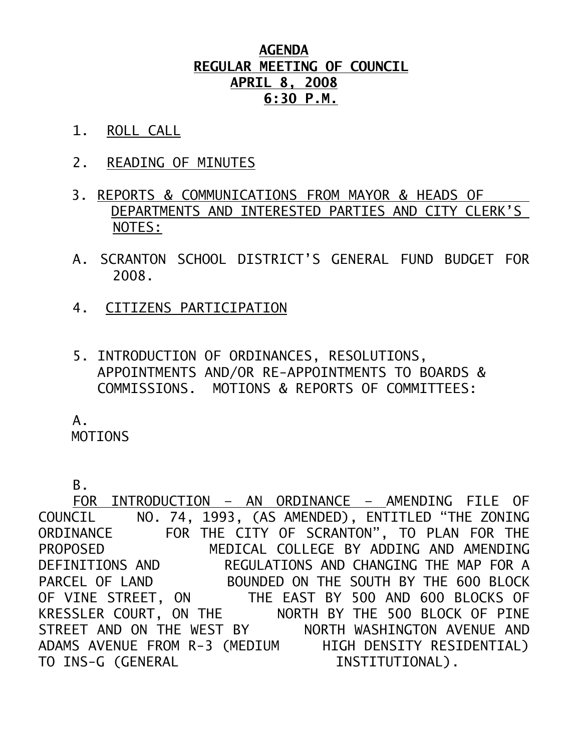## **AGENDA REGULAR MEETING OF COUNCIL APRIL 8, 2008 6:30 P.M.**

- 1. ROLL CALL
- 2. READING OF MINUTES
- 3. REPORTS & COMMUNICATIONS FROM MAYOR & HEADS OF DEPARTMENTS AND INTERESTED PARTIES AND CITY CLERK'S NOTES:
- A. SCRANTON SCHOOL DISTRICT'S GENERAL FUND BUDGET FOR 2008.
- 4. CITIZENS PARTICIPATION
- 5. INTRODUCTION OF ORDINANCES, RESOLUTIONS, APPOINTMENTS AND/OR RE-APPOINTMENTS TO BOARDS & COMMISSIONS. MOTIONS & REPORTS OF COMMITTEES:

A.

MOTIONS

B.

 FOR INTRODUCTION – AN ORDINANCE – AMENDING FILE OF COUNCIL NO. 74, 1993, (AS AMENDED), ENTITLED "THE ZONING ORDINANCE FOR THE CITY OF SCRANTON", TO PLAN FOR THE PROPOSED MEDICAL COLLEGE BY ADDING AND AMENDING DEFINITIONS AND REGULATIONS AND CHANGING THE MAP FOR A PARCEL OF LAND BOUNDED ON THE SOUTH BY THE 600 BLOCK OF VINE STREET, ON THE EAST BY 500 AND 600 BLOCKS OF KRESSLER COURT, ON THE NORTH BY THE 500 BLOCK OF PINE STREET AND ON THE WEST BY NORTH WASHINGTON AVENUE AND ADAMS AVENUE FROM R-3 (MEDIUM HIGH DENSITY RESIDENTIAL) TO INS-G (GENERAL INSTITUTIONAL).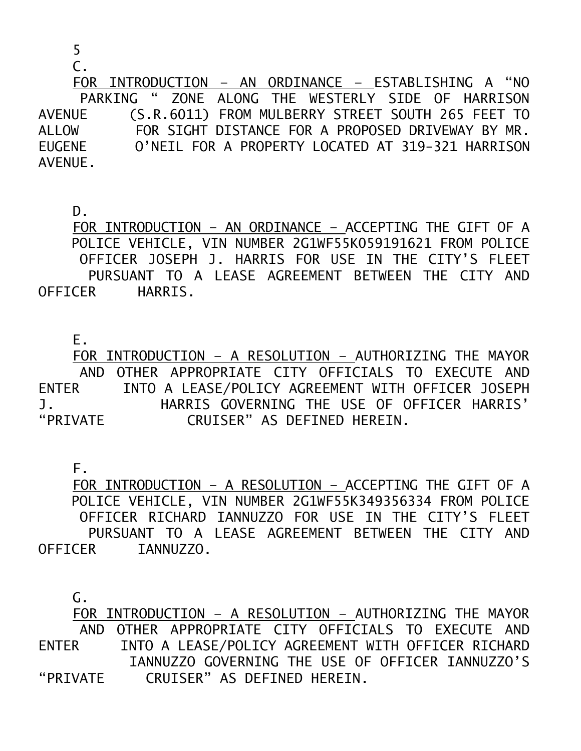5

 $C<sub>1</sub>$ 

 FOR INTRODUCTION – AN ORDINANCE – ESTABLISHING A "NO PARKING " ZONE ALONG THE WESTERLY SIDE OF HARRISON AVENUE (S.R.6011) FROM MULBERRY STREET SOUTH 265 FEET TO ALLOW FOR SIGHT DISTANCE FOR A PROPOSED DRIVEWAY BY MR. EUGENE O'NEIL FOR A PROPERTY LOCATED AT 319-321 HARRISON AVENUE.

D.

 FOR INTRODUCTION – AN ORDINANCE – ACCEPTING THE GIFT OF A POLICE VEHICLE, VIN NUMBER 2G1WF55K059191621 FROM POLICE OFFICER JOSEPH J. HARRIS FOR USE IN THE CITY'S FLEET PURSUANT TO A LEASE AGREEMENT BETWEEN THE CITY AND OFFICER HARRIS.

E.

 FOR INTRODUCTION – A RESOLUTION – AUTHORIZING THE MAYOR AND OTHER APPROPRIATE CITY OFFICIALS TO EXECUTE AND ENTER INTO A LEASE/POLICY AGREEMENT WITH OFFICER JOSEPH J. HARRIS GOVERNING THE USE OF OFFICER HARRIS' "PRIVATE CRUISER" AS DEFINED HEREIN.

F.

 FOR INTRODUCTION – A RESOLUTION – ACCEPTING THE GIFT OF A POLICE VEHICLE, VIN NUMBER 2G1WF55K349356334 FROM POLICE OFFICER RICHARD IANNUZZO FOR USE IN THE CITY'S FLEET PURSUANT TO A LEASE AGREEMENT BETWEEN THE CITY AND OFFICER IANNUZZO.

G.

 FOR INTRODUCTION – A RESOLUTION – AUTHORIZING THE MAYOR AND OTHER APPROPRIATE CITY OFFICIALS TO EXECUTE AND ENTER INTO A LEASE/POLICY AGREEMENT WITH OFFICER RICHARD IANNUZZO GOVERNING THE USE OF OFFICER IANNUZZO'S "PRIVATE CRUISER" AS DEFINED HEREIN.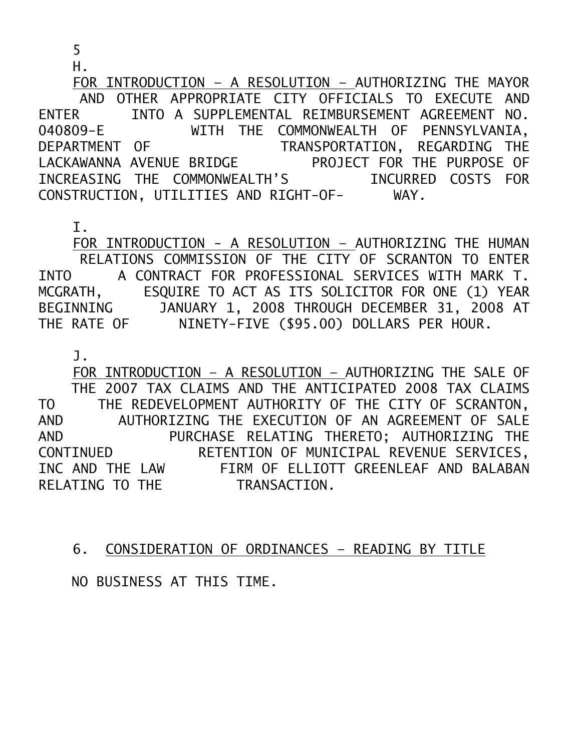5

H.

 FOR INTRODUCTION – A RESOLUTION – AUTHORIZING THE MAYOR AND OTHER APPROPRIATE CITY OFFICIALS TO EXECUTE AND ENTER INTO A SUPPLEMENTAL REIMBURSEMENT AGREEMENT NO. 040809-E WITH THE COMMONWEALTH OF PENNSYLVANIA, DEPARTMENT OF TRANSPORTATION, REGARDING THE LACKAWANNA AVENUE BRIDGE PROJECT FOR THE PURPOSE OF INCREASING THE COMMONWEALTH'S INCURRED COSTS FOR CONSTRUCTION, UTILITIES AND RIGHT-OF- WAY.

I.

 FOR INTRODUCTION - A RESOLUTION – AUTHORIZING THE HUMAN RELATIONS COMMISSION OF THE CITY OF SCRANTON TO ENTER INTO A CONTRACT FOR PROFESSIONAL SERVICES WITH MARK T. MCGRATH, ESQUIRE TO ACT AS ITS SOLICITOR FOR ONE (1) YEAR BEGINNING JANUARY 1, 2008 THROUGH DECEMBER 31, 2008 AT THE RATE OF NINETY-FIVE (\$95.00) DOLLARS PER HOUR.

J.

 FOR INTRODUCTION – A RESOLUTION – AUTHORIZING THE SALE OF THE 2007 TAX CLAIMS AND THE ANTICIPATED 2008 TAX CLAIMS TO THE REDEVELOPMENT AUTHORITY OF THE CITY OF SCRANTON, AND AUTHORIZING THE EXECUTION OF AN AGREEMENT OF SALE<br>PURCHASE RELATING THERETO: AUTHORIZING THE PURCHASE RELATING THERETO; AUTHORIZING THE CONTINUED RETENTION OF MUNICIPAL REVENUE SERVICES, INC AND THE LAW FIRM OF ELLIOTT GREENLEAF AND BALABAN RELATING TO THE TRANSACTION.

6. CONSIDERATION OF ORDINANCES – READING BY TITLE

NO BUSINESS AT THIS TIME.